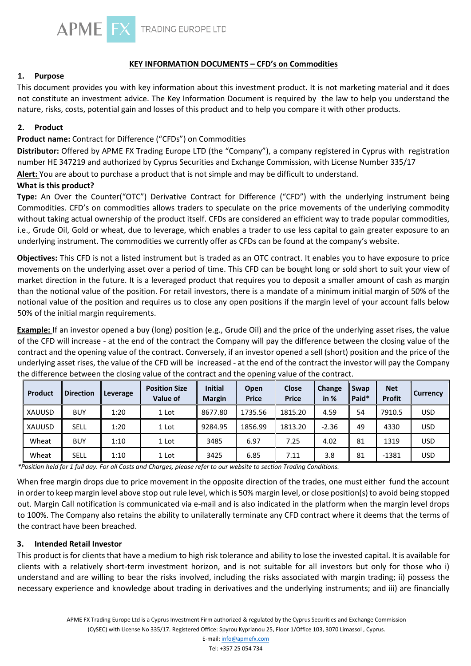

## **KEY INFORMATION DOCUMENTS – CFD's on Commodities**

#### **1. Purpose**

This document provides you with key information about this investment product. It is not marketing material and it does not constitute an investment advice. The Key Information Document is required by the law to help you understand the nature, risks, costs, potential gain and losses of this product and to help you compare it with other products.

#### **2. Product**

## **Product name:** Contract for Difference ("CFDs") on Commodities

**Distributor:** Offered by APME FX Trading Europe LTD (the "Company"), a company registered in Cyprus with registration number HE 347219 and authorized by Cyprus Securities and Exchange Commission, with License Number 335/17

**Alert:** You are about to purchase a product that is not simple and may be difficult to understand.

### **What is this product?**

**Type:** An Over the Counter("OTC") Derivative Contract for Difference ("CFD") with the underlying instrument being Commodities. CFD's on commodities allows traders to speculate on the price movements of the underlying commodity without taking actual ownership of the product itself. CFDs are considered an efficient way to trade popular commodities, i.e., Grude Oil, Gold or wheat, due to leverage, which enables a trader to use less capital to gain greater exposure to an underlying instrument. The commodities we currently offer as CFDs can be found at the company's website.

**Objectives:** This CFD is not a listed instrument but is traded as an OTC contract. It enables you to have exposure to price movements on the underlying asset over a period of time. This CFD can be bought long or sold short to suit your view of market direction in the future. It is a leveraged product that requires you to deposit a smaller amount of cash as margin than the notional value of the position. For retail investors, there is a mandate of a minimum initial margin of 50% of the notional value of the position and requires us to close any open positions if the margin level of your account falls below 50% of the initial margin requirements.

**Example:** If an investor opened a buy (long) position (e.g., Grude Oil) and the price of the underlying asset rises, the value of the CFD will increase - at the end of the contract the Company will pay the difference between the closing value of the contract and the opening value of the contract. Conversely, if an investor opened a sell (short) position and the price of the underlying asset rises, the value of the CFD will be increased - at the end of the contract the investor will pay the Company the difference between the closing value of the contract and the opening value of the contract.

| Product | <b>Direction</b> | Leverage | <b>Position Size</b><br>Value of | <b>Initial</b><br><b>Margin</b> | Open<br><b>Price</b> | <b>Close</b><br><b>Price</b> | Change<br>in $%$ | Swap<br>Paid* | <b>Net</b><br><b>Profit</b> | <b>Currency</b> |
|---------|------------------|----------|----------------------------------|---------------------------------|----------------------|------------------------------|------------------|---------------|-----------------------------|-----------------|
| XAUUSD  | <b>BUY</b>       | 1:20     | 1 Lot                            | 8677.80                         | 1735.56              | 1815.20                      | 4.59             | 54            | 7910.5                      | <b>USD</b>      |
| XAUUSD  | <b>SELL</b>      | 1:20     | 1 Lot                            | 9284.95                         | 1856.99              | 1813.20                      | $-2.36$          | 49            | 4330                        | <b>USD</b>      |
| Wheat   | <b>BUY</b>       | 1:10     | 1 Lot                            | 3485                            | 6.97                 | 7.25                         | 4.02             | 81            | 1319                        | <b>USD</b>      |
| Wheat   | <b>SELL</b>      | 1:10     | 1 Lot                            | 3425                            | 6.85                 | 7.11                         | 3.8              | 81            | $-1381$                     | <b>USD</b>      |

*\*Position held for 1 full day. For all Costs and Charges, please refer to our website to section Trading Conditions.* 

When free margin drops due to price movement in the opposite direction of the trades, one must either fund the account in order to keep margin level above stop out rule level, which is 50% margin level, or close position(s) to avoid being stopped out. Margin Call notification is communicated via e-mail and is also indicated in the platform when the margin level drops to 100%. The Company also retains the ability to unilaterally terminate any CFD contract where it deems that the terms of the contract have been breached.

#### **3. Intended Retail Investor**

This product is for clients that have a medium to high risk tolerance and ability to lose the invested capital. It is available for clients with a relatively short-term investment horizon, and is not suitable for all investors but only for those who i) understand and are willing to bear the risks involved, including the risks associated with margin trading; ii) possess the necessary experience and knowledge about trading in derivatives and the underlying instruments; and iii) are financially

E-mail: info@apmefx.com Tel: +357 25 054 734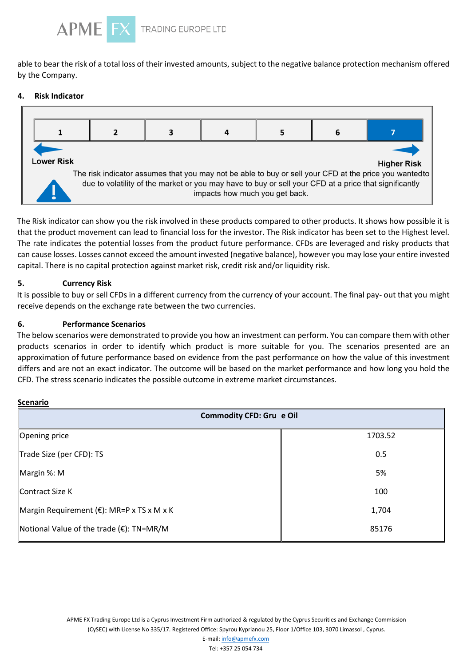

able to bear the risk of a total loss of their invested amounts, subject to the negative balance protection mechanism offered by the Company.

#### **Risk Indicator** 4



The Risk indicator can show you the risk involved in these products compared to other products. It shows how possible it is that the product movement can lead to financial loss for the investor. The Risk indicator has been set to the Highest level. The rate indicates the potential losses from the product future performance. CFDs are leveraged and risky products that can cause losses. Losses cannot exceed the amount invested (negative balance), however you may lose your entire invested capital. There is no capital protection against market risk, credit risk and/or liquidity risk.

# **5. Currency Risk**

It is possible to buy or sell CFDs in a different currency from the currency of your account. The final pay- out that you might receive depends on the exchange rate between the two currencies.

### **6. Performance Scenarios**

The below scenarios were demonstrated to provide you how an investment can perform. You can compare them with other products scenarios in order to identify which product is more suitable for you. The scenarios presented are an approximation of future performance based on evidence from the past performance on how the value of this investment differs and are not an exact indicator. The outcome will be based on the market performance and how long you hold the CFD. The stress scenario indicates the possible outcome in extreme market circumstances.

#### **Scenario**

| <b>Commodity CFD: Gru e Oil</b>                    |         |  |  |  |  |  |
|----------------------------------------------------|---------|--|--|--|--|--|
| Opening price                                      | 1703.52 |  |  |  |  |  |
| Trade Size (per CFD): TS                           | 0.5     |  |  |  |  |  |
| Margin %: M                                        | 5%      |  |  |  |  |  |
| Contract Size K                                    | 100     |  |  |  |  |  |
| Margin Requirement (€): MR=P x TS x M x K          | 1,704   |  |  |  |  |  |
| Notional Value of the trade $(\epsilon)$ : TN=MR/M | 85176   |  |  |  |  |  |

APME FX Trading Europe Ltd is a Cyprus Investment Firm authorized & regulated by the Cyprus Securities and Exchange Commission (CySEC) with License No 335/17. Registered Office: Spyrou Kyprianou 25, Floor 1/Office 103, 3070 Limassol , Cyprus.

> E-mail: info@apmefx.com Tel: +357 25 054 734